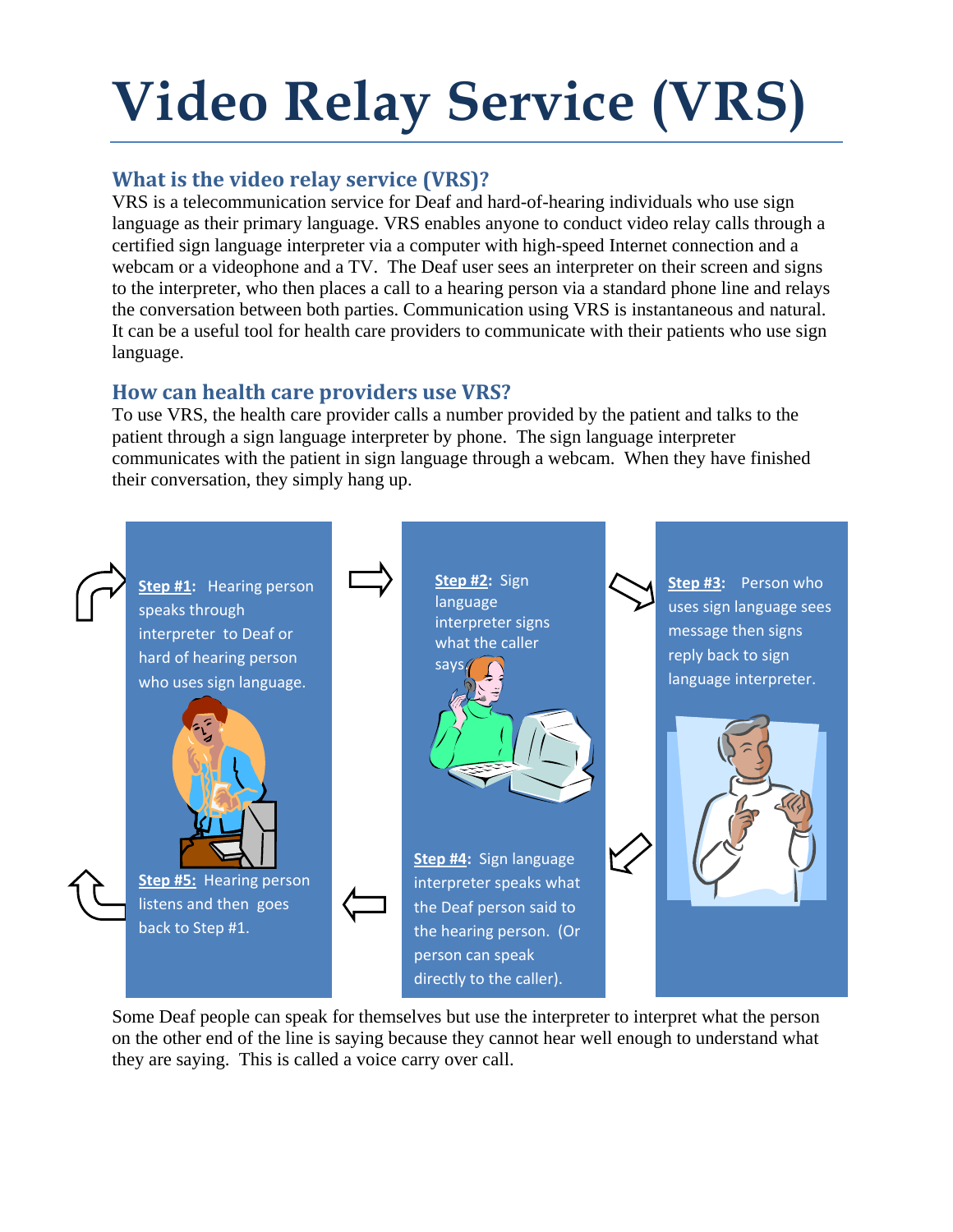# **Video Relay Service (VRS)**

# **What is the video relay service (VRS)?**

VRS is a telecommunication service for Deaf and hard-of-hearing individuals who use sign language as their primary language. VRS enables anyone to conduct video relay calls through a certified sign language interpreter via a computer with high-speed Internet connection and a webcam or a videophone and a TV. The Deaf user sees an interpreter on their screen and signs to the interpreter, who then places a call to a hearing person via a standard phone line and relays the conversation between both parties. Communication using VRS is instantaneous and natural. It can be a useful tool for health care providers to communicate with their patients who use sign language.

# **How can health care providers use VRS?**

To use VRS, the health care provider calls a number provided by the patient and talks to the patient through a sign language interpreter by phone. The sign language interpreter communicates with the patient in sign language through a webcam. When they have finished their conversation, they simply hang up.



Some Deaf people can speak for themselves but use the interpreter to interpret what the person on the other end of the line is saying because they cannot hear well enough to understand what they are saying. This is called a voice carry over call.